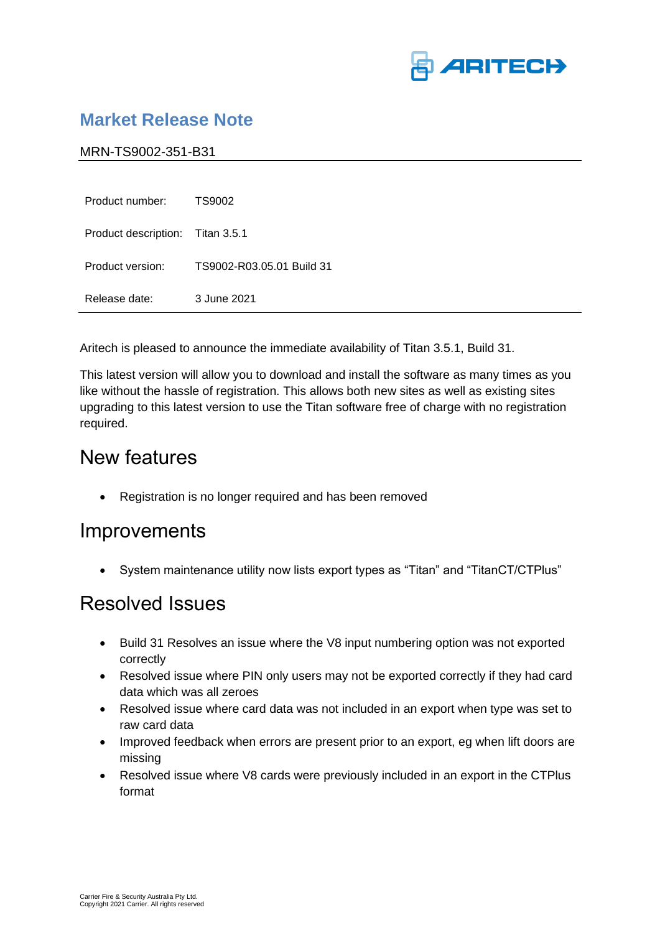

#### **Market Release Note**

MRN-TS9002-351-B31

| Product number:                  | TS9002                    |
|----------------------------------|---------------------------|
| Product description: Titan 3.5.1 |                           |
| Product version:                 | TS9002-R03.05.01 Build 31 |
| Release date:                    | 3 June 2021               |

Aritech is pleased to announce the immediate availability of Titan 3.5.1, Build 31.

This latest version will allow you to download and install the software as many times as you like without the hassle of registration. This allows both new sites as well as existing sites upgrading to this latest version to use the Titan software free of charge with no registration required.

### New features

• Registration is no longer required and has been removed

#### Improvements

• System maintenance utility now lists export types as "Titan" and "TitanCT/CTPlus"

### Resolved Issues

- Build 31 Resolves an issue where the V8 input numbering option was not exported correctly
- Resolved issue where PIN only users may not be exported correctly if they had card data which was all zeroes
- Resolved issue where card data was not included in an export when type was set to raw card data
- Improved feedback when errors are present prior to an export, eg when lift doors are missing
- Resolved issue where V8 cards were previously included in an export in the CTPlus format